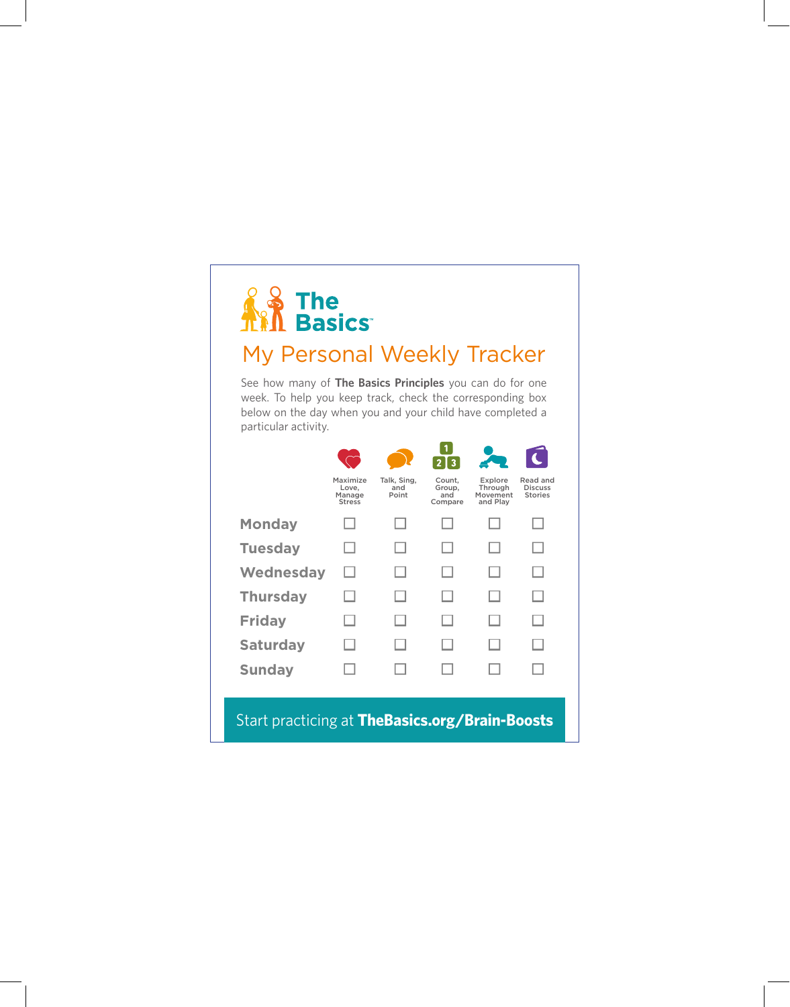# **AS The Film Basics**

#### My Personal Weekly Tracker

See how many of **The Basics Principles** you can do for one week. To help you keep track, check the corresponding box below on the day when you and your child have completed a particular activity.

|                                                |                                              |                             | $\overline{3}$                     |                                            |                                              |  |
|------------------------------------------------|----------------------------------------------|-----------------------------|------------------------------------|--------------------------------------------|----------------------------------------------|--|
|                                                | Maximize<br>Love.<br>Manage<br><b>Stress</b> | Talk, Sing,<br>and<br>Point | Count.<br>Group,<br>and<br>Compare | Explore<br>Through<br>Movement<br>and Play | Read and<br><b>Discuss</b><br><b>Stories</b> |  |
| <b>Monday</b>                                  |                                              |                             |                                    |                                            |                                              |  |
| <b>Tuesday</b>                                 |                                              |                             |                                    |                                            | - 1                                          |  |
| <b>Wednesday</b>                               |                                              |                             |                                    |                                            | . I                                          |  |
| <b>Thursday</b>                                |                                              |                             |                                    |                                            | . I                                          |  |
| <b>Friday</b>                                  |                                              |                             |                                    |                                            | - 1                                          |  |
| <b>Saturday</b>                                |                                              |                             |                                    |                                            |                                              |  |
| <b>Sunday</b>                                  |                                              |                             |                                    |                                            |                                              |  |
|                                                |                                              |                             |                                    |                                            |                                              |  |
| Start practicing at TheBasics.org/Brain-Boosts |                                              |                             |                                    |                                            |                                              |  |